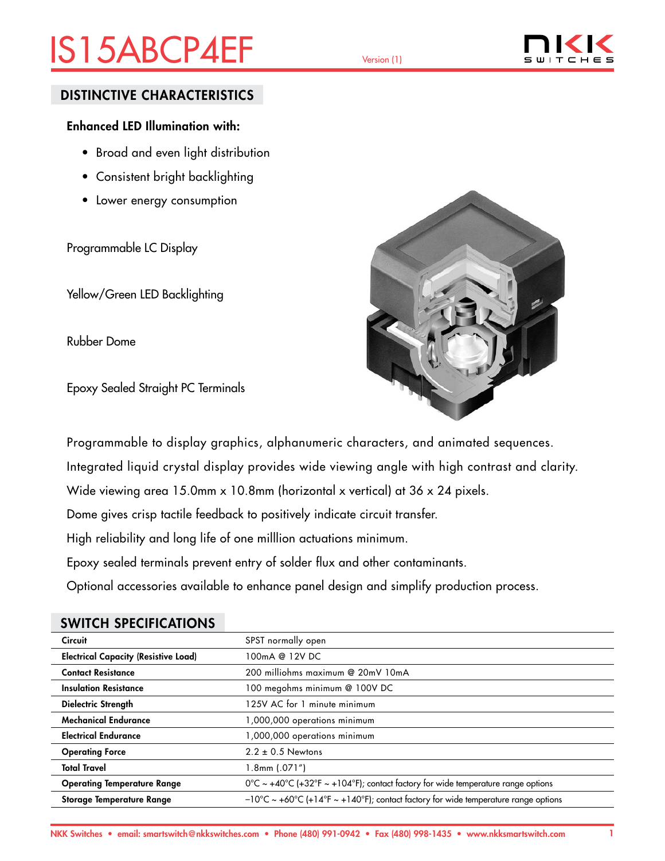# IS15ABCP4EF Version (1)



### DISTINCTIVE CHARACTERISTICS

### Enhanced LED Illumination with:

- Broad and even light distribution
- Consistent bright backlighting
- Lower energy consumption

Programmable LC Display

Yellow/Green LED Backlighting

Rubber Dome

Epoxy Sealed Straight PC Terminals



Programmable to display graphics, alphanumeric characters, and animated sequences.

Integrated liquid crystal display provides wide viewing angle with high contrast and clarity.

Wide viewing area 15.0mm x 10.8mm (horizontal x vertical) at 36 x 24 pixels.

Dome gives crisp tactile feedback to positively indicate circuit transfer.

High reliability and long life of one milllion actuations minimum.

Epoxy sealed terminals prevent entry of solder flux and other contaminants.

Optional accessories available to enhance panel design and simplify production process.

| <b>Circuit</b>                              | SPST normally open                                                                           |
|---------------------------------------------|----------------------------------------------------------------------------------------------|
| <b>Electrical Capacity (Resistive Load)</b> | 100mA @ 12V DC                                                                               |
| <b>Contact Resistance</b>                   | 200 milliohms maximum @ 20mV 10mA                                                            |
| <b>Insulation Resistance</b>                | 100 megohms minimum @ 100V DC                                                                |
| Dielectric Strength                         | 125V AC for 1 minute minimum                                                                 |
| <b>Mechanical Endurance</b>                 | 1,000,000 operations minimum                                                                 |
| <b>Electrical Endurance</b>                 | 1,000,000 operations minimum                                                                 |
| <b>Operating Force</b>                      | $2.2 \pm 0.5$ Newtons                                                                        |
| <b>Total Travel</b>                         | $1.8$ mm $(.071")$                                                                           |
| <b>Operating Temperature Range</b>          | $0^{\circ}$ C ~ +40°C (+32°F ~ +104°F); contact factory for wide temperature range options   |
| <b>Storage Temperature Range</b>            | $-10^{\circ}$ C ~ +60°C (+14°F ~ +140°F); contact factory for wide temperature range options |

### SWITCH SPECIFICATIONS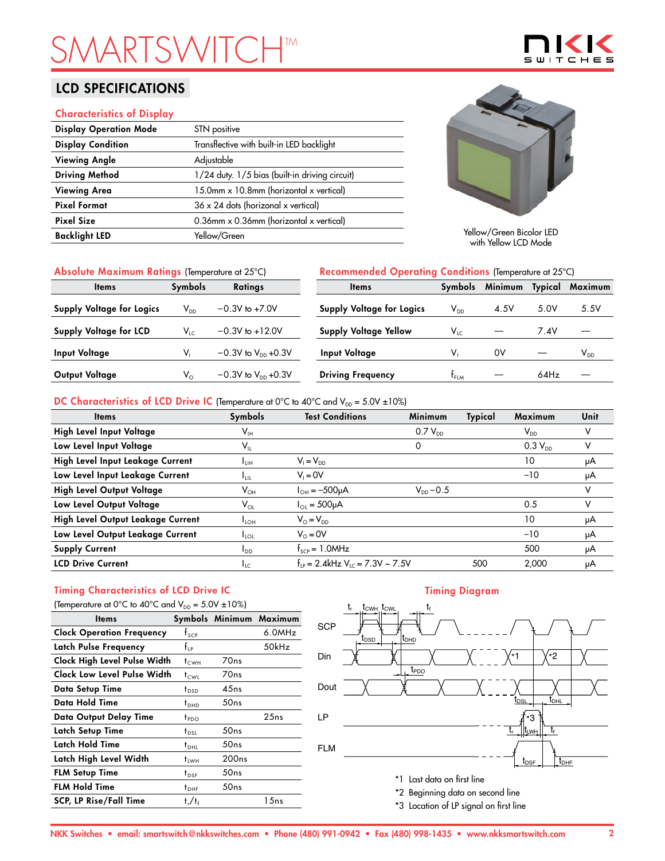# **SMARTSHTM**

## LCD SPECIFICATIONS

### Characteristics of Display

| <b>Display Operation Mode</b> | STN positive                                          |
|-------------------------------|-------------------------------------------------------|
| <b>Display Condition</b>      | Transflective with built-in LED backlight             |
| <b>Viewing Angle</b>          | Adjustable                                            |
| <b>Driving Method</b>         | 1/24 duty. 1/5 bias (built-in driving circuit)        |
| <b>Viewing Area</b>           | 15.0mm x 10.8mm (horizontal x vertical)               |
| <b>Pixel Format</b>           | $36 \times 24$ dots (horizonal x vertical)            |
| <b>Pixel Size</b>             | 0.36mm $\times$ 0.36mm (horizontal $\times$ vertical) |
| <b>Backlight LED</b>          | Yellow/Green                                          |



Yellow/Green Bicolor LED with Yellow LCD Mode

| Absolute Maximum Ratings (Temperature at 25°C) |                 |                                  | <b>Recommended Operating Conditions (Temperature at 25°C)</b> |                            |         |                |          |
|------------------------------------------------|-----------------|----------------------------------|---------------------------------------------------------------|----------------------------|---------|----------------|----------|
| <b>Items</b>                                   | <b>Symbols</b>  | <b>Ratings</b>                   | <b>Items</b>                                                  | <b>Symbols</b>             | Minimum | <b>Typical</b> | Maximum  |
| Supply Voltage for Logics                      | V <sub>DD</sub> | $-0.3V$ to $+7.0V$               | <b>Supply Voltage for Logics</b>                              | $\mathsf{V}_{\mathsf{DD}}$ | 4.5V    | 5.0V           | 5.5V     |
| Supply Voltage for LCD                         | $V_{LC}$        | $-0.3V$ to $+12.0V$              | <b>Supply Voltage Yellow</b>                                  | $V_{LC}$                   |         | 7.4V           |          |
| <b>Input Voltage</b>                           |                 | $-0.3V$ to $V_{\text{DD}}$ +0.3V | Input Voltage                                                 | V.                         | 0V      |                | $V_{DD}$ |
| Output Voltage                                 | $V_{\circ}$     | $-0.3V$ to $V_{\text{DD}}$ +0.3V | <b>Driving Frequency</b>                                      | t <sub>flm</sub>           |         | 64Hz           |          |

### DC Characteristics of LCD Drive IC (Temperature at 0°C to 40°C and  $V_{DD} = 5.0V \pm 10\%$ )

| <b>Items</b>                      | Symbols                    | <b>Test Conditions</b>                           | Minimum        | Typical | Maximum                    | Unit |
|-----------------------------------|----------------------------|--------------------------------------------------|----------------|---------|----------------------------|------|
| High Level Input Voltage          | $\mathsf{V}_{\mathsf{IH}}$ |                                                  | $0.7 V_{DD}$   |         | $\mathsf{V}_{\mathsf{DD}}$ |      |
| Low Level Input Voltage           | $\mathsf{V}_{\mathsf{IL}}$ |                                                  | 0              |         | $0.3 V_{DD}$               | v    |
| High Level Input Leakage Current  | ∎ин                        | $V_1 = V_{DD}$                                   |                |         | 10                         | μA   |
| Low Level Input Leakage Current   | Ŧш                         | $V_i = 0V$                                       |                |         | $-10$                      | μA   |
| High Level Output Voltage         | $\mathsf{V}_{\mathsf{OH}}$ | $I_{OH} = -500 \mu A$                            | $V_{DD} - 0.5$ |         |                            | v    |
| Low Level Output Voltage          | $\mathsf{V}_{\mathsf{OL}}$ | $I_{\text{O1}} = 500 \mu A$                      |                |         | 0.5                        | v    |
| High Level Output Leakage Current | $I_{LOH}$                  | $V_{\odot} = V_{\text{DD}}$                      |                |         | 10                         | μA   |
| Low Level Output Leakage Current  | $I_{\text{LOL}}$           | $V_0 = 0V$                                       |                |         | $-10$                      | μA   |
| <b>Supply Current</b>             | $I_{DD}$                   | $f_{\text{SCP}} = 1.0$ MHz                       |                |         | 500                        | μA   |
| <b>LCD Drive Current</b>          | $I_{LC}$                   | $f_{LP} = 2.4$ kHz V <sub>LC</sub> = 7.3V ~ 7.5V |                | 500     | 2.000                      | μA   |

# Timing Characteristics of LCD Drive IC

| (Temperature at 0°C to 40°C and $V_{DD} = 5.0V \pm 10\%$ ) |                                 |                   |                         |  |  |  |
|------------------------------------------------------------|---------------------------------|-------------------|-------------------------|--|--|--|
| <b>Items</b>                                               |                                 |                   | Symbols Minimum Maximum |  |  |  |
| <b>Clock Operation Frequency</b>                           | $f_{\text{SCP}}$                |                   | 6.0MHz                  |  |  |  |
| Latch Pulse Frequency                                      | $f_{\scriptscriptstyle \rm IP}$ |                   | 50kHz                   |  |  |  |
| Clock High Level Pulse Width                               | $t_{\text{CWH}}$                | 70 <sub>ns</sub>  |                         |  |  |  |
| Clock Low Level Pulse Width                                | $t_{\text{CWL}}$                | 70ns              |                         |  |  |  |
| Data Setup Time                                            | t <sub>DSD</sub>                | 45ns              |                         |  |  |  |
| Data Hold Time                                             | $t_{\text{DHD}}$                | 50ns              |                         |  |  |  |
| Data Output Delay Time                                     | t <sub>PDO</sub>                |                   | 25ns                    |  |  |  |
| Latch Setup Time                                           | $t_{DSL}$                       | 50ns              |                         |  |  |  |
| Latch Hold Time                                            | $t_{DHL}$                       | 50ns              |                         |  |  |  |
| Latch High Level Width                                     | tıwн                            | 200 <sub>ns</sub> |                         |  |  |  |
| <b>FLM Setup Time</b>                                      | $t_{DSF}$                       | 50ns              |                         |  |  |  |
| <b>FLM Hold Time</b>                                       | $t_{\text{DHF}}$                | 50ns              |                         |  |  |  |
| <b>SCP, LP Rise/Fall Time</b>                              | $t_r/t_f$                       |                   | 15ns                    |  |  |  |

### Timing Diagram



\*3 Location of LP signal on first line

# $\mathbf{S}$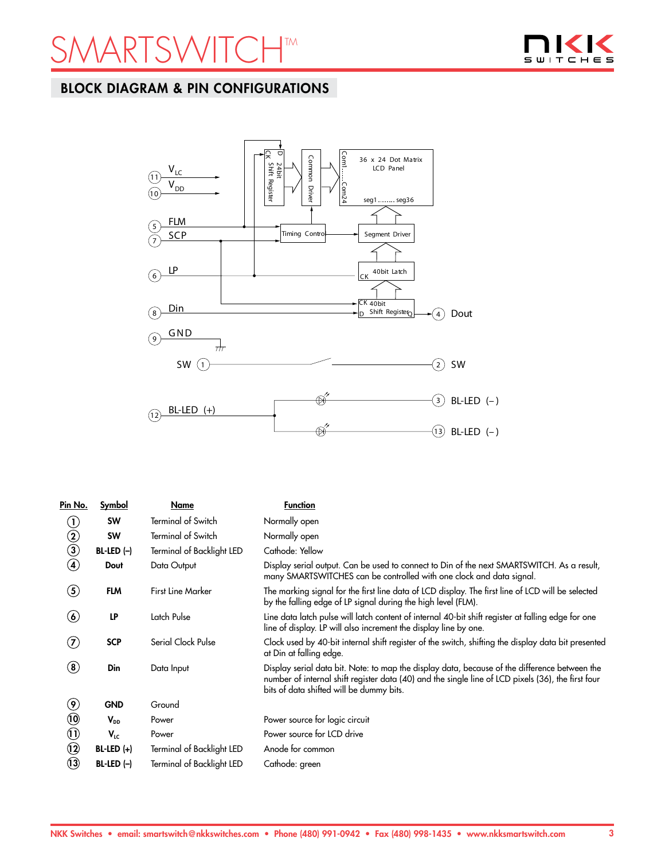



# BLOCK DIAGRAM & PIN CONFIGURATIONS



| Pin No.                              | Symbol       | Name                      | <b>Function</b>                                                                                                                                                                                                                                 |
|--------------------------------------|--------------|---------------------------|-------------------------------------------------------------------------------------------------------------------------------------------------------------------------------------------------------------------------------------------------|
| $\rm U$                              | <b>SW</b>    | <b>Terminal of Switch</b> | Normally open                                                                                                                                                                                                                                   |
|                                      | <b>SW</b>    | <b>Terminal of Switch</b> | Normally open                                                                                                                                                                                                                                   |
| $\begin{matrix} 2 \\ 3 \end{matrix}$ | $BL-LED (-)$ | Terminal of Backlight LED | Cathode: Yellow                                                                                                                                                                                                                                 |
| $\bf{(4)}$                           | Dout         | Data Output               | Display serial output. Can be used to connect to Din of the next SMARTSWITCH. As a result,<br>many SMARTSWITCHES can be controlled with one clock and data signal.                                                                              |
| $\left( 5\right)$                    | <b>FLM</b>   | <b>First Line Marker</b>  | The marking signal for the first line data of LCD display. The first line of LCD will be selected<br>by the falling edge of LP signal during the high level (FLM).                                                                              |
| $\bf(\pmb{\delta})$                  | LP           | Latch Pulse               | Line data latch pulse will latch content of internal 40-bit shift register at falling edge for one<br>line of display. LP will also increment the display line by one.                                                                          |
| $\left( \mathbf{Z}\right)$           | <b>SCP</b>   | Serial Clock Pulse        | Clock used by 40-bit internal shift register of the switch, shifting the display data bit presented<br>at Din at falling edge.                                                                                                                  |
| $\bf{(8)}$                           | Din          | Data Input                | Display serial data bit. Note: to map the display data, because of the difference between the<br>number of internal shift register data (40) and the single line of LCD pixels (36), the first four<br>bits of data shifted will be dummy bits. |
| $\circledast$                        | <b>GND</b>   | Ground                    |                                                                                                                                                                                                                                                 |
| $\circledR$                          | $V_{DD}$     | Power                     | Power source for logic circuit                                                                                                                                                                                                                  |
| $\Theta$                             | $V_{LC}$     | Power                     | Power source for LCD drive                                                                                                                                                                                                                      |
| $\circledR$                          | $BL-LED (+)$ | Terminal of Backlight LED | Anode for common                                                                                                                                                                                                                                |
| $\mathbf{u}$                         | $BL-LED (-)$ | Terminal of Backlight LED | Cathode: green                                                                                                                                                                                                                                  |